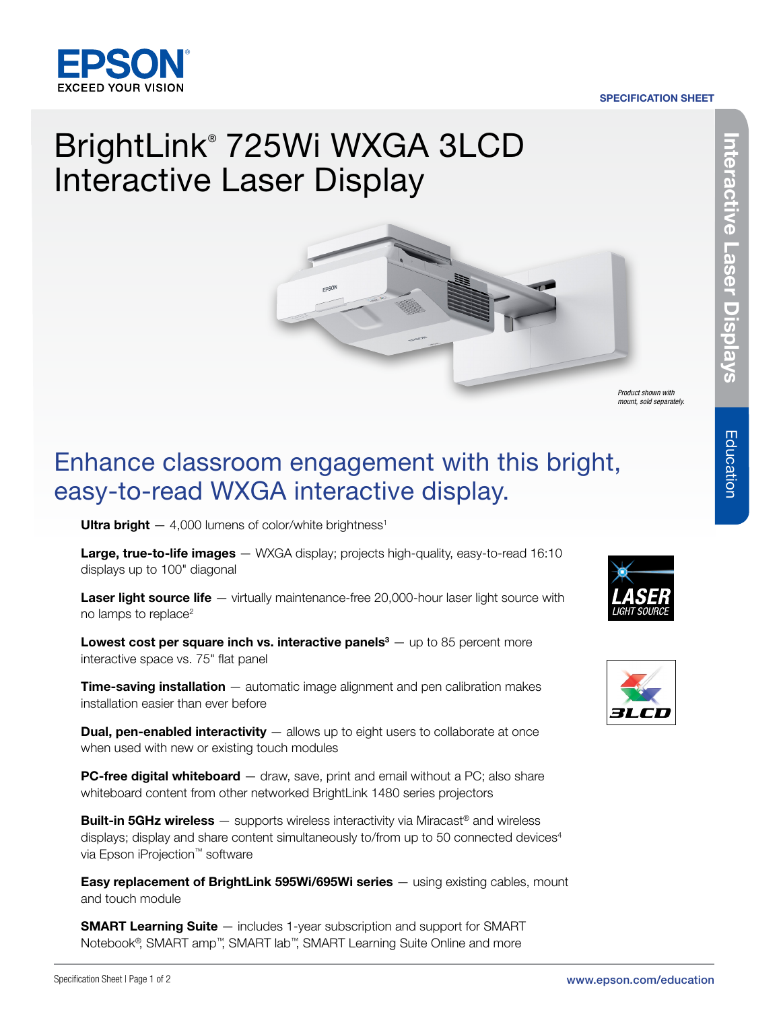

#### SPECIFICATION SHEET

# BrightLink® 725Wi WXGA 3LCD Interactive Laser Display



*Product shown with mount, sold separately.*

## Enhance classroom engagement with this bright, easy-to-read WXGA interactive display.

Ultra bright  $-4,000$  lumens of color/white brightness<sup>1</sup>

Large, true-to-life images - WXGA display; projects high-quality, easy-to-read 16:10 displays up to 100" diagonal

Laser light source life — virtually maintenance-free 20,000-hour laser light source with no lamps to replace<sup>2</sup>

**Lowest cost per square inch vs. interactive panels** $3 -$  up to 85 percent more interactive space vs. 75" flat panel

**Time-saving installation** – automatic image alignment and pen calibration makes installation easier than ever before

**Dual, pen-enabled interactivity** — allows up to eight users to collaborate at once when used with new or existing touch modules

**PC-free digital whiteboard** — draw, save, print and email without a PC; also share whiteboard content from other networked BrightLink 1480 series projectors

**Built-in 5GHz wireless** — supports wireless interactivity via Miracast<sup>®</sup> and wireless displays; display and share content simultaneously to/from up to 50 connected devices $4$ via Epson iProjection™ software

**Easy replacement of BrightLink 595Wi/695Wi series** — using existing cables, mount and touch module

**SMART Learning Suite** — includes 1-year subscription and support for SMART Notebook®, SMART amp™, SMART lab™, SMART Learning Suite Online and more





Education

Education